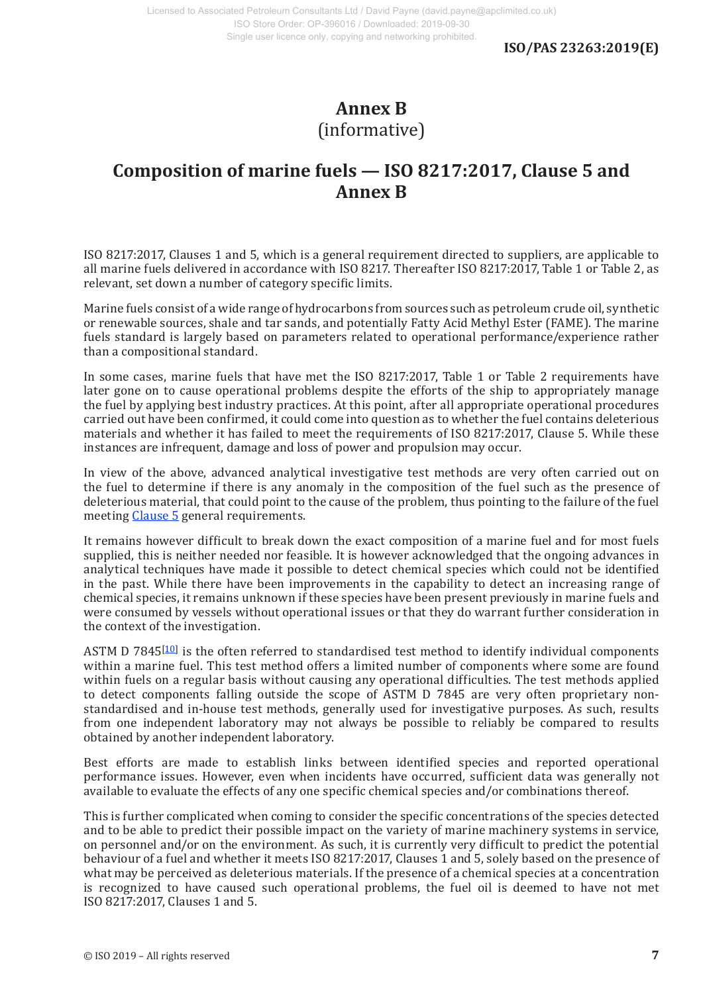## **Annex B** (informative)

## **Composition of marine fuels — ISO 8217:2017, Clause 5 and Annex B**

ISO 8217:2017, Clauses 1 and 5, which is a general requirement directed to suppliers, are applicable to all marine fuels delivered in accordance with ISO 8217. Thereafter ISO 8217:2017, Table 1 or Table 2, as relevant, set down a number of category specific limits.

Marine fuels consist of a wide range of hydrocarbons from sources such as petroleum crude oil, synthetic or renewable sources, shale and tar sands, and potentially Fatty Acid Methyl Ester (FAME). The marine fuels standard is largely based on parameters related to operational performance/experience rather than a compositional standard.

In some cases, marine fuels that have met the ISO 8217:2017, Table 1 or Table 2 requirements have later gone on to cause operational problems despite the efforts of the ship to appropriately manage the fuel by applying best industry practices. At this point, after all appropriate operational procedures carried out have been confirmed, it could come into question as to whether the fuel contains deleterious materials and whether it has failed to meet the requirements of ISO 8217:2017, Clause 5. While these instances are infrequent, damage and loss of power and propulsion may occur.

In view of the above, advanced analytical investigative test methods are very often carried out on the fuel to determine if there is any anomaly in the composition of the fuel such as the presence of deleterious material, that could point to the cause of the problem, thus pointing to the failure of the fuel meeting Clause 5 general requirements.

It remains however difficult to break down the exact composition of a marine fuel and for most fuels supplied, this is neither needed nor feasible. It is however acknowledged that the ongoing advances in analytical techniques have made it possible to detect chemical species which could not be identified in the past. While there have been improvements in the capability to detect an increasing range of chemical species, it remains unknown if these species have been present previously in marine fuels and were consumed by vessels without operational issues or that they do warrant further consideration in the context of the investigation.

ASTM D 7845<sup>[10]</sup> is the often referred to standardised test method to identify individual components within a marine fuel. This test method offers a limited number of components where some are found within fuels on a regular basis without causing any operational difficulties. The test methods applied to detect components falling outside the scope of ASTM D 7845 are very often proprietary nonstandardised and in-house test methods, generally used for investigative purposes. As such, results from one independent laboratory may not always be possible to reliably be compared to results obtained by another independent laboratory.

Best efforts are made to establish links between identified species and reported operational performance issues. However, even when incidents have occurred, sufficient data was generally not available to evaluate the effects of any one specific chemical species and/or combinations thereof.

This is further complicated when coming to consider the specific concentrations of the species detected and to be able to predict their possible impact on the variety of marine machinery systems in service, on personnel and/or on the environment. As such, it is currently very difficult to predict the potential behaviour of a fuel and whether it meets ISO 8217:2017, Clauses 1 and 5, solely based on the presence of what may be perceived as deleterious materials. If the presence of a chemical species at a concentration is recognized to have caused such operational problems, the fuel oil is deemed to have not met ISO 8217:2017, Clauses 1 and 5.